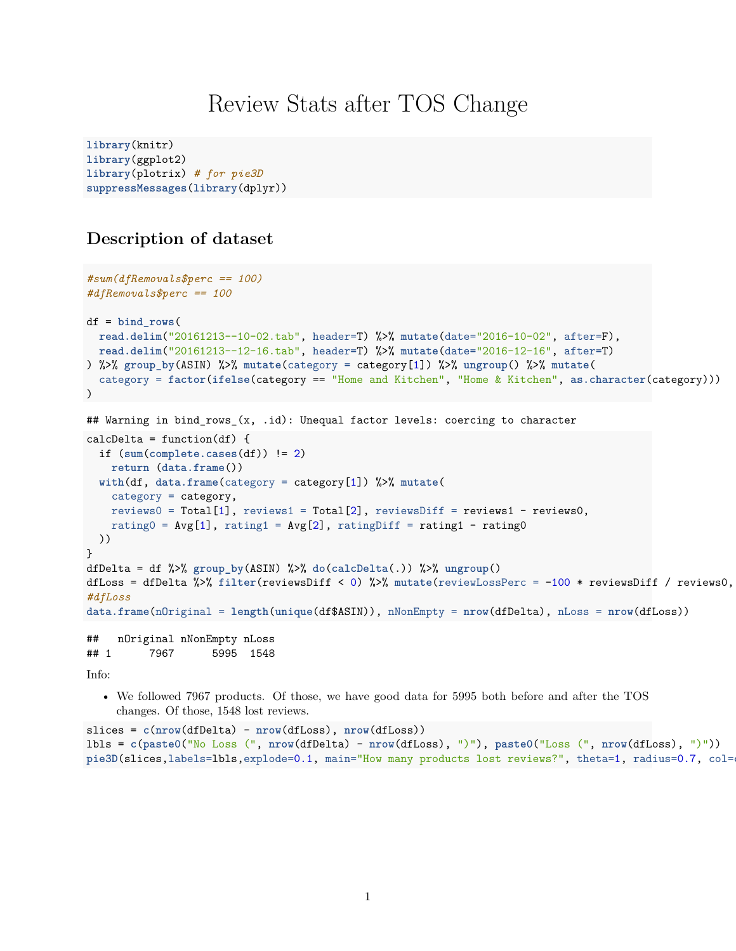# Review Stats after TOS Change

```
library(knitr)
library(ggplot2)
library(plotrix) # for pie3D
suppressMessages(library(dplyr))
```
## **Description of dataset**

```
#sum(dfRemovals$perc == 100)
#dfRemovals$perc == 100
df = bind_rows(
 read.delim("20161213--10-02.tab", header=T) %>% mutate(date="2016-10-02", after=F),
 read.delim("20161213--12-16.tab", header=T) %>% mutate(date="2016-12-16", after=T)
) %>% group_by(ASIN) %>% mutate(category = category[1]) %>% ungroup() %>% mutate(
  category = factor(ifelse(category == "Home and Kitchen", "Home & Kitchen", as.character(category)))
\lambda## Warning in bind_rows_(x, .id): Unequal factor levels: coercing to character
calcDelta = function(df) {
  if (sum(complete.cases(df)) != 2)
   return (data.frame())
 with(df, data.frame(category = category[1]) %>% mutate(
   category = category,
   reviews0 = Total[1], reviews1 = Total[2], reviewsDiff = reviews1 - reviews0,
   rating0 = Avg[1], rating1 = Avg[2], ratingDiff = rating1 - rating0
 ))
}
dfDelta = df %>% group_by(ASIN) %>% do(calcDelta(.)) %>% ungroup()
dfLoss = dfDelta %>% filter(reviewsDiff < 0) %>% mutate(reviewLossPerc = -100 * reviewsDiff / reviews0,
#dfLoss
data.frame(nOriginal = length(unique(df$ASIN)), nNonEmpty = nrow(dfDelta), nLoss = nrow(dfLoss))
## nOriginal nNonEmpty nLoss
## 1 7967 5995 1548
```
Info:

• We followed 7967 products. Of those, we have good data for 5995 both before and after the TOS changes. Of those, 1548 lost reviews.

```
slices = c(nrow(dfDelta) - nrow(dfLoss), nrow(dfLoss))
lbls = c(paste0("No Loss (", nrow(dfDelta) - nrow(dfLoss), ")"), paste0("Loss (", nrow(dfLoss), ")"))
pie3D(slices,labels=lbls,explode=0.1, main="How many products lost reviews?", theta=1, radius=0.7, col=
```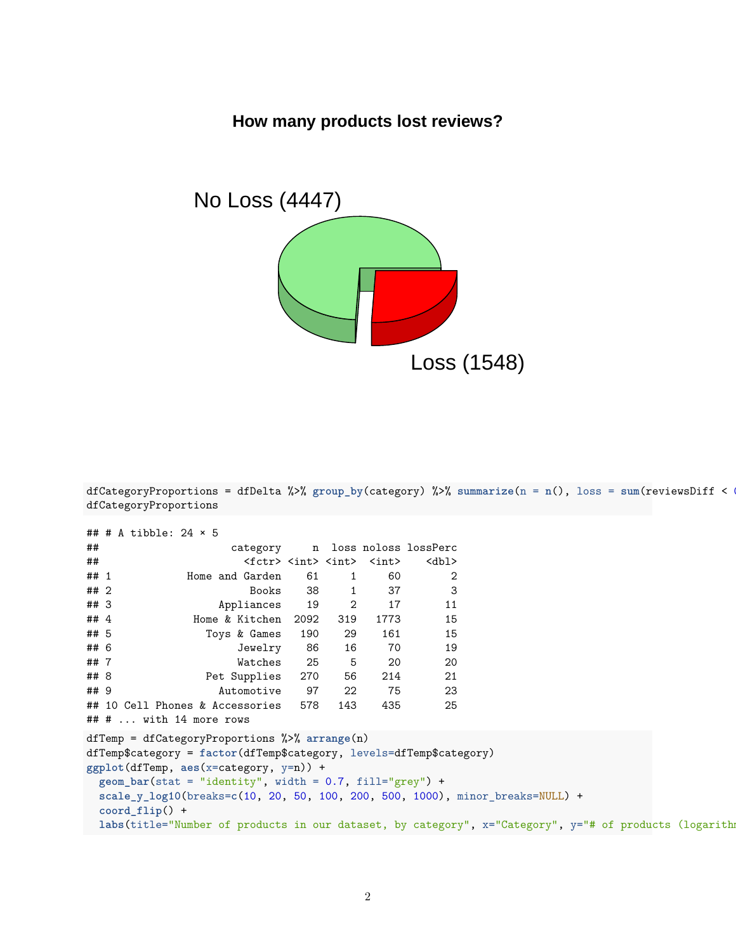## **How many products lost reviews?**



dfCategoryProportions = dfDelta %>% group\_by(category) %>% summarize( $n = n()$ , loss = sum(reviewsDiff < dfCategoryProportions

```
## # A tibble: 24 × 5
## category n loss noloss lossPerc
## <fctr> <int> <int> <int> <dbl>
## 1 Home and Garden 61 1 60 2
## 2 Books 38 1 37 3
## 3 Appliances 19 2 17 11
## 4 Home & Kitchen 2092 319 1773 15
## 5 Toys & Games 190 29 161 15
## 6 Jewelry 86 16 70 19
## 7 Watches 25 5 20 20
## 8 Pet Supplies 270 56 214 21
## 9 Automotive 97 22 75 23
## 10 Cell Phones & Accessories 578 143 435 25
## # ... with 14 more rows
dfTemp = dfCategoryProportions %>% arrange(n)
dfTemp$category = factor(dfTemp$category, levels=dfTemp$category)
ggplot(dfTemp, aes(x=category, y=n)) +
 geom_bar(stat = "identity", width = 0.7, fill="grey") +scale_y_log10(breaks=c(10, 20, 50, 100, 200, 500, 1000), minor_breaks=NULL) +
 coord_flip() +
 labs(title="Number of products in our dataset, by category", x="Category", y="# of products (logarith
```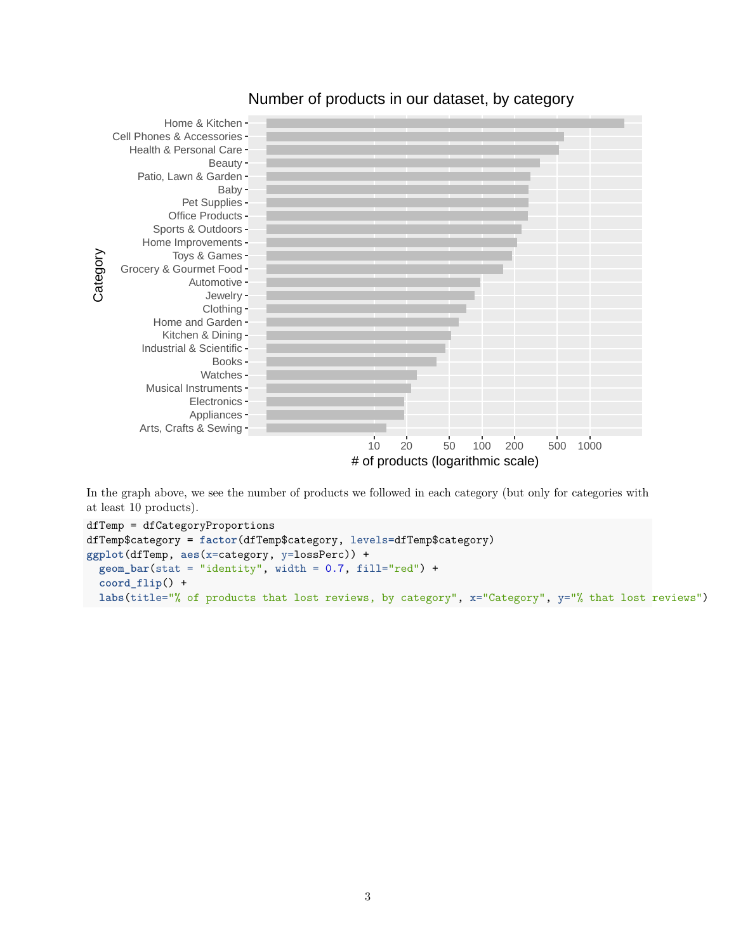

### Number of products in our dataset, by category

In the graph above, we see the number of products we followed in each category (but only for categories with at least 10 products).

```
dfTemp = dfCategoryProportions
dfTemp$category = factor(dfTemp$category, levels=dfTemp$category)
ggplot(dfTemp, aes(x=category, y=lossPerc)) +
 geom_bar(stat = "identity", width = 0.7, fill="red") +coord_flip() +
  labs(title="% of products that lost reviews, by category", x="Category", y="% that lost reviews")
```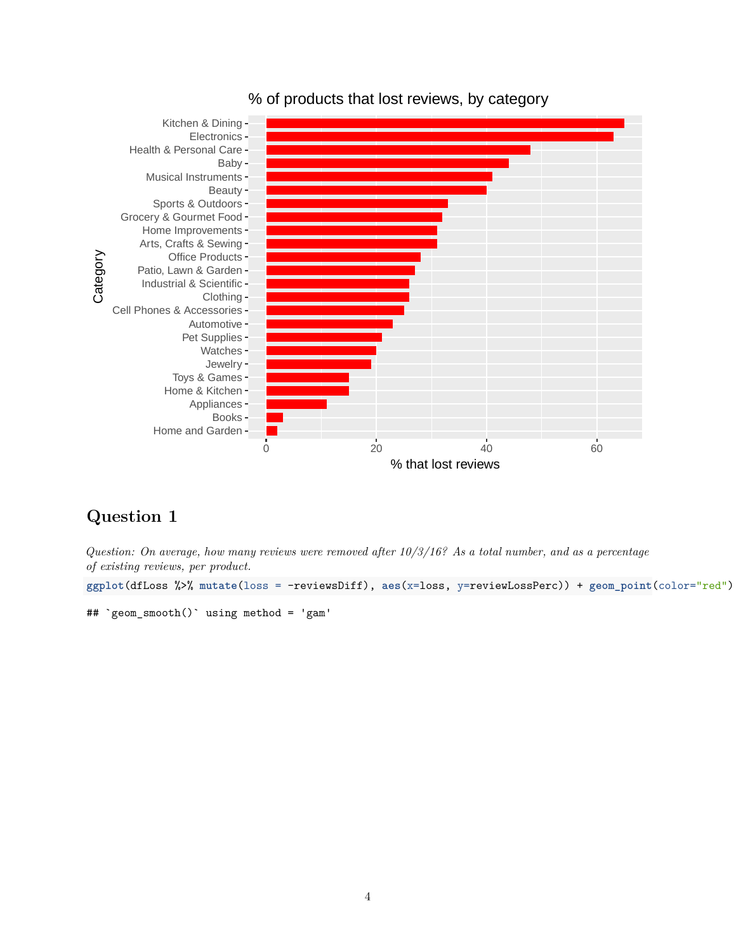

### % of products that lost reviews, by category

## **Question 1**

*Question: On average, how many reviews were removed after 10/3/16? As a total number, and as a percentage of existing reviews, per product.*

ggplot(dfLoss %>% mutate(loss = -reviewsDiff), aes(x=loss, y=reviewLossPerc)) + geom\_point(color="red")

```
## `geom_smooth()` using method = 'gam'
```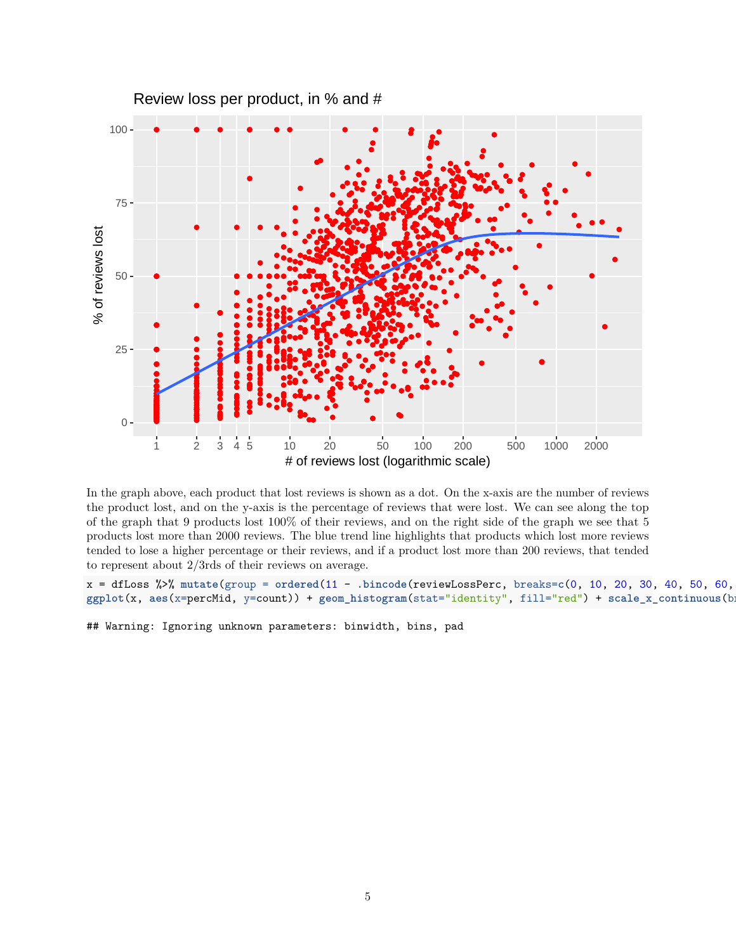

In the graph above, each product that lost reviews is shown as a dot. On the x-axis are the number of reviews the product lost, and on the y-axis is the percentage of reviews that were lost. We can see along the top of the graph that 9 products lost 100% of their reviews, and on the right side of the graph we see that 5 products lost more than 2000 reviews. The blue trend line highlights that products which lost more reviews tended to lose a higher percentage or their reviews, and if a product lost more than 200 reviews, that tended to represent about 2/3rds of their reviews on average.

 $x = dfLoss$  %>% mutate(group = ordered(11 - .bincode(reviewLossPerc, breaks=c(0, 10, 20, 30, 40, 50, 60, ggplot(x, aes(x=percMid, y=count)) + geom\_histogram(stat="identity", fill="red") + scale\_x\_continuous(b

## Warning: Ignoring unknown parameters: binwidth, bins, pad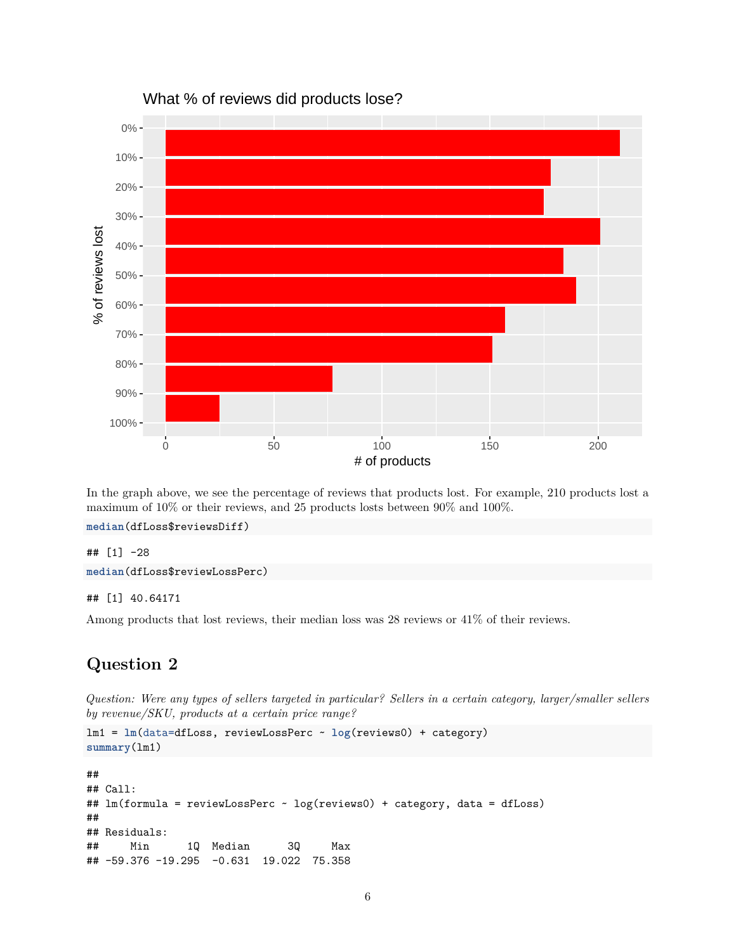

In the graph above, we see the percentage of reviews that products lost. For example, 210 products lost a maximum of 10% or their reviews, and 25 products losts between 90% and 100%.

```
median(dfLoss$reviewsDiff)
```
## [1] -28

**median**(dfLoss\$reviewLossPerc)

#### ## [1] 40.64171

Among products that lost reviews, their median loss was 28 reviews or 41% of their reviews.

## **Question 2**

*Question: Were any types of sellers targeted in particular? Sellers in a certain category, larger/smaller sellers by revenue/SKU, products at a certain price range?*

```
lm1 = lm(data=dfLoss, reviewLossPerc ~ log(reviews0) + category)
summary(lm1)
##
## Call:
## lm(formula = reviewLossPerc ~ log(reviews0) + category, data = dfLoss)
##
## Residuals:
## Min 1Q Median 3Q Max
## -59.376 -19.295 -0.631 19.022 75.358
```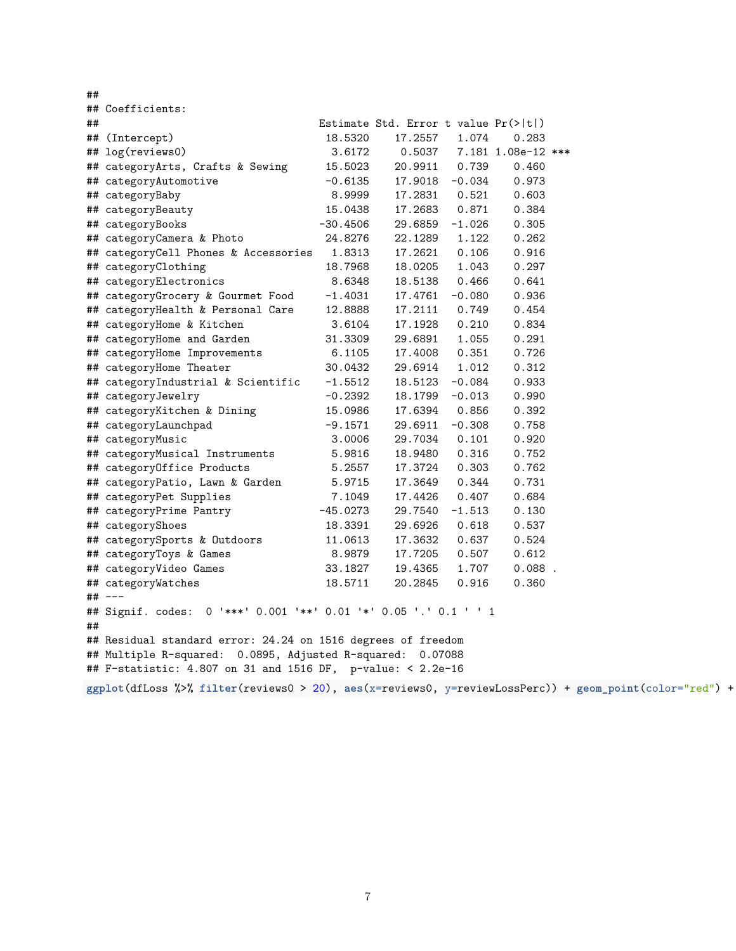##

|                                                                                                         | ## Coefficients:                                                    |            |                                      |          |                    |  |  |
|---------------------------------------------------------------------------------------------------------|---------------------------------------------------------------------|------------|--------------------------------------|----------|--------------------|--|--|
| ##                                                                                                      |                                                                     |            | Estimate Std. Error t value Pr(> t ) |          |                    |  |  |
|                                                                                                         | ## (Intercept)                                                      | 18.5320    | 17.2557                              | 1.074    | 0.283              |  |  |
|                                                                                                         | ## log(reviews0)                                                    | 3.6172     | 0.5037                               |          | 7.181 1.08e-12 *** |  |  |
|                                                                                                         | ## categoryArts, Crafts & Sewing                                    | 15.5023    | 20.9911                              | 0.739    | 0.460              |  |  |
|                                                                                                         | ## categoryAutomotive                                               | $-0.6135$  | 17.9018                              | $-0.034$ | 0.973              |  |  |
|                                                                                                         | ## categoryBaby                                                     | 8.9999     | 17.2831                              | 0.521    | 0.603              |  |  |
|                                                                                                         | ## categoryBeauty                                                   | 15.0438    | 17.2683                              | 0.871    | 0.384              |  |  |
|                                                                                                         | ## categoryBooks                                                    | $-30.4506$ | 29.6859                              | $-1.026$ | 0.305              |  |  |
|                                                                                                         | ## categoryCamera & Photo                                           | 24.8276    | 22.1289                              | 1.122    | 0.262              |  |  |
|                                                                                                         | ## categoryCell Phones & Accessories                                | 1.8313     | 17.2621                              | 0.106    | 0.916              |  |  |
|                                                                                                         | ## categoryClothing                                                 | 18.7968    | 18.0205                              | 1.043    | 0.297              |  |  |
|                                                                                                         | ## categoryElectronics                                              | 8.6348     | 18.5138                              | 0.466    | 0.641              |  |  |
|                                                                                                         | ## categoryGrocery & Gourmet Food                                   | $-1.4031$  | 17.4761                              | $-0.080$ | 0.936              |  |  |
|                                                                                                         | ## categoryHealth & Personal Care                                   | 12.8888    | 17.2111                              | 0.749    | 0.454              |  |  |
|                                                                                                         | ## categoryHome & Kitchen                                           | 3.6104     | 17.1928                              | 0.210    | 0.834              |  |  |
|                                                                                                         | ## categoryHome and Garden                                          | 31.3309    | 29.6891                              | 1.055    | 0.291              |  |  |
|                                                                                                         | ## categoryHome Improvements                                        | 6.1105     | 17.4008                              | 0.351    | 0.726              |  |  |
|                                                                                                         | ## categoryHome Theater                                             | 30.0432    | 29.6914                              | 1.012    | 0.312              |  |  |
|                                                                                                         | ## categoryIndustrial & Scientific                                  | $-1.5512$  | 18.5123                              | $-0.084$ | 0.933              |  |  |
|                                                                                                         | ## categoryJewelry                                                  | $-0.2392$  | 18.1799                              | $-0.013$ | 0.990              |  |  |
|                                                                                                         | ## categoryKitchen & Dining                                         | 15.0986    | 17.6394                              | 0.856    | 0.392              |  |  |
|                                                                                                         | ## categoryLaunchpad                                                | -9.1571    | 29.6911                              | $-0.308$ | 0.758              |  |  |
|                                                                                                         | ## categoryMusic                                                    | 3.0006     | 29.7034                              | 0.101    | 0.920              |  |  |
|                                                                                                         | ## categoryMusical Instruments                                      | 5.9816     | 18.9480                              | 0.316    | 0.752              |  |  |
|                                                                                                         | ## categoryOffice Products                                          | 5.2557     | 17.3724                              | 0.303    | 0.762              |  |  |
|                                                                                                         | ## categoryPatio, Lawn & Garden                                     | 5.9715     | 17.3649                              | 0.344    | 0.731              |  |  |
|                                                                                                         | ## categoryPet Supplies                                             | 7.1049     | 17.4426                              | 0.407    | 0.684              |  |  |
|                                                                                                         | ## categoryPrime Pantry                                             | $-45.0273$ | 29.7540                              | $-1.513$ | 0.130              |  |  |
|                                                                                                         | ## categoryShoes                                                    | 18.3391    | 29.6926                              | 0.618    | 0.537              |  |  |
|                                                                                                         | ## categorySports & Outdoors                                        | 11.0613    | 17.3632                              | 0.637    | 0.524              |  |  |
|                                                                                                         | ## categoryToys & Games                                             | 8.9879     | 17.7205                              | 0.507    | 0.612              |  |  |
|                                                                                                         | ## categoryVideo Games                                              | 33.1827    | 19.4365                              | 1.707    | $0.088$ .          |  |  |
|                                                                                                         | ## categoryWatches                                                  | 18.5711    | 20.2845                              | 0.916    | 0.360              |  |  |
|                                                                                                         | ## ---                                                              |            |                                      |          |                    |  |  |
| ##                                                                                                      | 0 '***' 0.001 '**' 0.01 '*' 0.05 '.' 0.1 ' ' 1<br>## Signif. codes: |            |                                      |          |                    |  |  |
|                                                                                                         | ## Residual standard error: 24.24 on 1516 degrees of freedom        |            |                                      |          |                    |  |  |
|                                                                                                         | ## Multiple R-squared: 0.0895, Adjusted R-squared: 0.07088          |            |                                      |          |                    |  |  |
| ## F-statistic: 4.807 on 31 and 1516 DF, p-value: < 2.2e-16                                             |                                                                     |            |                                      |          |                    |  |  |
| ggplot(dfLoss %>% filter(reviews0 > 20), aes(x=reviews0, y=reviewLossPerc)) + geom_point(color="red") + |                                                                     |            |                                      |          |                    |  |  |
|                                                                                                         |                                                                     |            |                                      |          |                    |  |  |